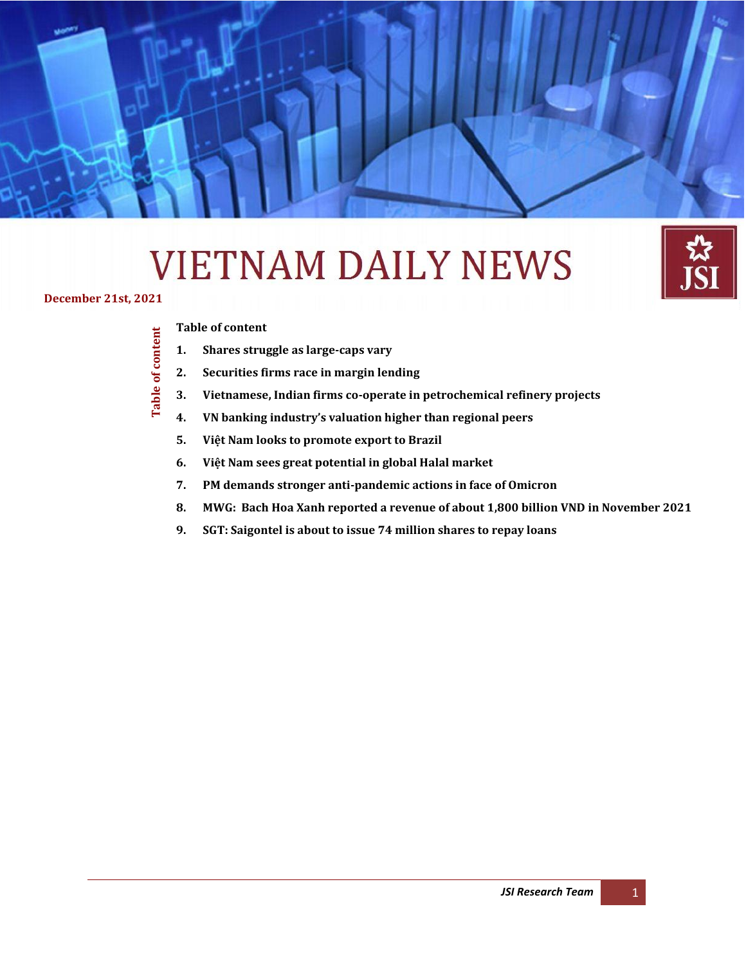# **VIETNAM DAILY NEWS**

**December 21st, 2021**

#### **[Table of content](#page-0-0)**

**Table of content**

<span id="page-0-0"></span>Table of content

- **1. [Shares struggle as large-caps vary](#page-1-0)**
- **2. [Securities firms race in margin lending](#page-2-0)**

**Daily Information Update – Japan Securities Co., Ltd** *(December 21*

- **3. [Vietnamese, Indian firms co-operate in petrochemical refinery projects](#page-3-0)**
- **4. [VN banking industry's valuation higher than regional peers](#page-3-1)**
- **5. [Việt Nam looks to promote export to Brazil](#page-4-0)**
- **6. [Việt Nam sees great potential in global Ha](#page-5-0)lal market**
- **7. [PM demands stronger anti-pandemic actions in face of Omicron](#page-6-0)**
- **8. [MWG: Bach Hoa Xanh reported a revenue of about 1,800 billion VND in November 2021](#page-8-0)**

*st , 2021)*

**9. [SGT: Saigontel is about to issue 74 million shares to repay loans](#page-9-0)**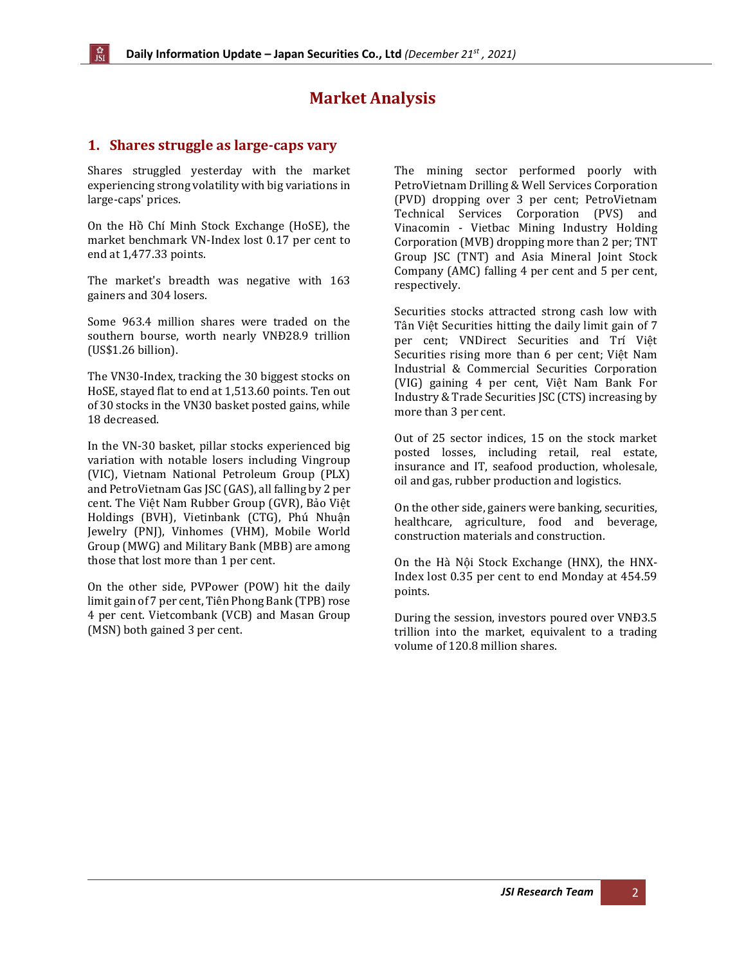# **Market Analysis**

#### <span id="page-1-0"></span>**1. Shares struggle as large-caps vary**

Shares struggled yesterday with the market experiencing strong volatility with big variations in large-caps' prices.

On the Hồ Chí Minh Stock Exchange (HoSE), the market benchmark VN-Index lost 0.17 per cent to end at 1,477.33 points.

The market's breadth was negative with 163 gainers and 304 losers.

Some 963.4 million shares were traded on the southern bourse, worth nearly VNĐ28.9 trillion (US\$1.26 billion).

The VN30-Index, tracking the 30 biggest stocks on HoSE, stayed flat to end at 1,513.60 points. Ten out of 30 stocks in the VN30 basket posted gains, while 18 decreased.

In the VN-30 basket, pillar stocks experienced big variation with notable losers including Vingroup (VIC), Vietnam National Petroleum Group (PLX) and PetroVietnam Gas JSC (GAS), all falling by 2 per cent. The Việt Nam Rubber Group (GVR), Bảo Việt Holdings (BVH), Vietinbank (CTG), Phú Nhuận Jewelry (PNJ), Vinhomes (VHM), Mobile World Group (MWG) and Military Bank (MBB) are among those that lost more than 1 per cent.

On the other side, PVPower (POW) hit the daily limit gain of 7 per cent, Tiên Phong Bank (TPB) rose 4 per cent. Vietcombank (VCB) and Masan Group (MSN) both gained 3 per cent.

The mining sector performed poorly with PetroVietnam Drilling & Well Services Corporation (PVD) dropping over 3 per cent; PetroVietnam Technical Services Corporation (PVS) and Vinacomin - Vietbac Mining Industry Holding Corporation (MVB) dropping more than 2 per; TNT Group JSC (TNT) and Asia Mineral Joint Stock Company (AMC) falling 4 per cent and 5 per cent, respectively.

Securities stocks attracted strong cash low with Tân Việt Securities hitting the daily limit gain of 7 per cent; VNDirect Securities and Trí Việt Securities rising more than 6 per cent; Việt Nam Industrial & Commercial Securities Corporation (VIG) gaining 4 per cent, Việt Nam Bank For Industry & Trade Securities JSC (CTS) increasing by more than 3 per cent.

Out of 25 sector indices, 15 on the stock market posted losses, including retail, real estate, insurance and IT, seafood production, wholesale, oil and gas, rubber production and logistics.

On the other side, gainers were banking, securities, healthcare, agriculture, food and beverage, construction materials and construction.

On the Hà Nội Stock Exchange (HNX), the HNX-Index lost 0.35 per cent to end Monday at 454.59 points.

During the session, investors poured over VNĐ3.5 trillion into the market, equivalent to a trading volume of 120.8 million shares.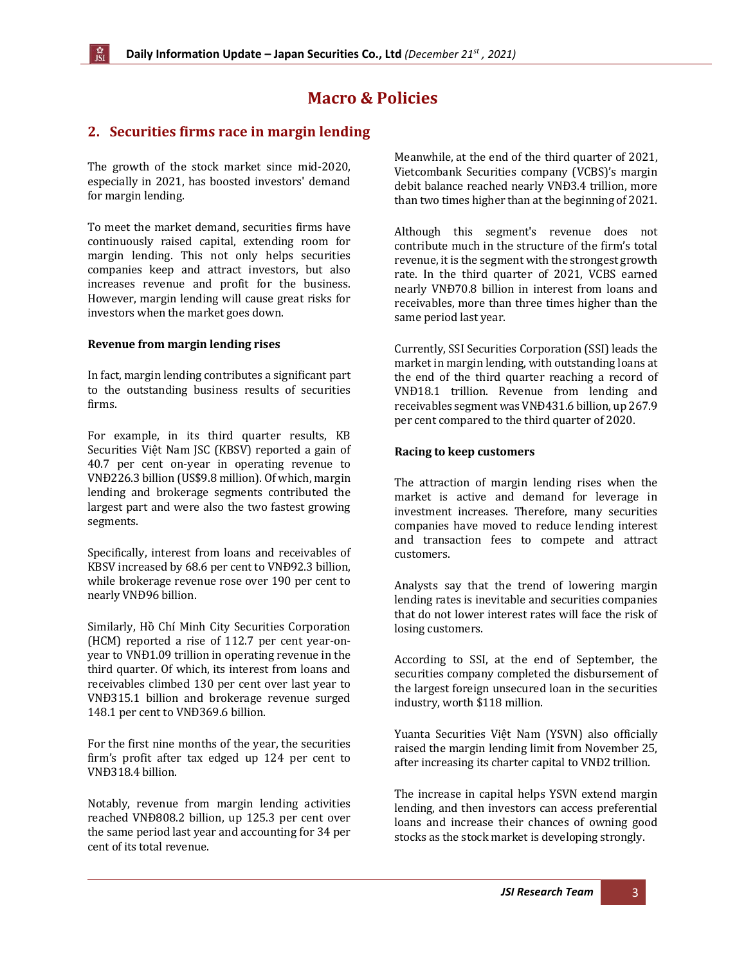# **Macro & Policies**

# <span id="page-2-0"></span>**2. Securities firms race in margin lending**

The growth of the stock market since mid-2020, especially in 2021, has boosted investors' demand for margin lending.

To meet the market demand, securities firms have continuously raised capital, extending room for margin lending. This not only helps securities companies keep and attract investors, but also increases revenue and profit for the business. However, margin lending will cause great risks for investors when the market goes down.

#### **Revenue from margin lending rises**

In fact, margin lending contributes a significant part to the outstanding business results of securities firms.

For example, in its third quarter results, KB Securities Việt Nam JSC (KBSV) reported a gain of 40.7 per cent on-year in operating revenue to VNĐ226.3 billion (US\$9.8 million). Of which, margin lending and brokerage segments contributed the largest part and were also the two fastest growing segments.

Specifically, interest from loans and receivables of KBSV increased by 68.6 per cent to VNĐ92.3 billion, while brokerage revenue rose over 190 per cent to nearly VNĐ96 billion.

Similarly, Hồ Chí Minh City Securities Corporation (HCM) reported a rise of 112.7 per cent year-onyear to VNĐ1.09 trillion in operating revenue in the third quarter. Of which, its interest from loans and receivables climbed 130 per cent over last year to VNĐ315.1 billion and brokerage revenue surged 148.1 per cent to VNĐ369.6 billion.

For the first nine months of the year, the securities firm's profit after tax edged up 124 per cent to VNĐ318.4 billion.

Notably, revenue from margin lending activities reached VNĐ808.2 billion, up 125.3 per cent over the same period last year and accounting for 34 per cent of its total revenue.

Meanwhile, at the end of the third quarter of 2021, Vietcombank Securities company (VCBS)'s margin debit balance reached nearly VNĐ3.4 trillion, more than two times higher than at the beginning of 2021.

Although this segment's revenue does not contribute much in the structure of the firm's total revenue, it is the segment with the strongest growth rate. In the third quarter of 2021, VCBS earned nearly VNĐ70.8 billion in interest from loans and receivables, more than three times higher than the same period last year.

Currently, SSI Securities Corporation (SSI) leads the market in margin lending, with outstanding loans at the end of the third quarter reaching a record of VNĐ18.1 trillion. Revenue from lending and receivables segment was VNĐ431.6 billion, up 267.9 per cent compared to the third quarter of 2020.

#### **Racing to keep customers**

The attraction of margin lending rises when the market is active and demand for leverage in investment increases. Therefore, many securities companies have moved to reduce lending interest and transaction fees to compete and attract customers.

Analysts say that the trend of lowering margin lending rates is inevitable and securities companies that do not lower interest rates will face the risk of losing customers.

According to SSI, at the end of September, the securities company completed the disbursement of the largest foreign unsecured loan in the securities industry, worth \$118 million.

Yuanta Securities Việt Nam (YSVN) also officially raised the margin lending limit from November 25, after increasing its charter capital to VNĐ2 trillion.

The increase in capital helps YSVN extend margin lending, and then investors can access preferential loans and increase their chances of owning good stocks as the stock market is developing strongly.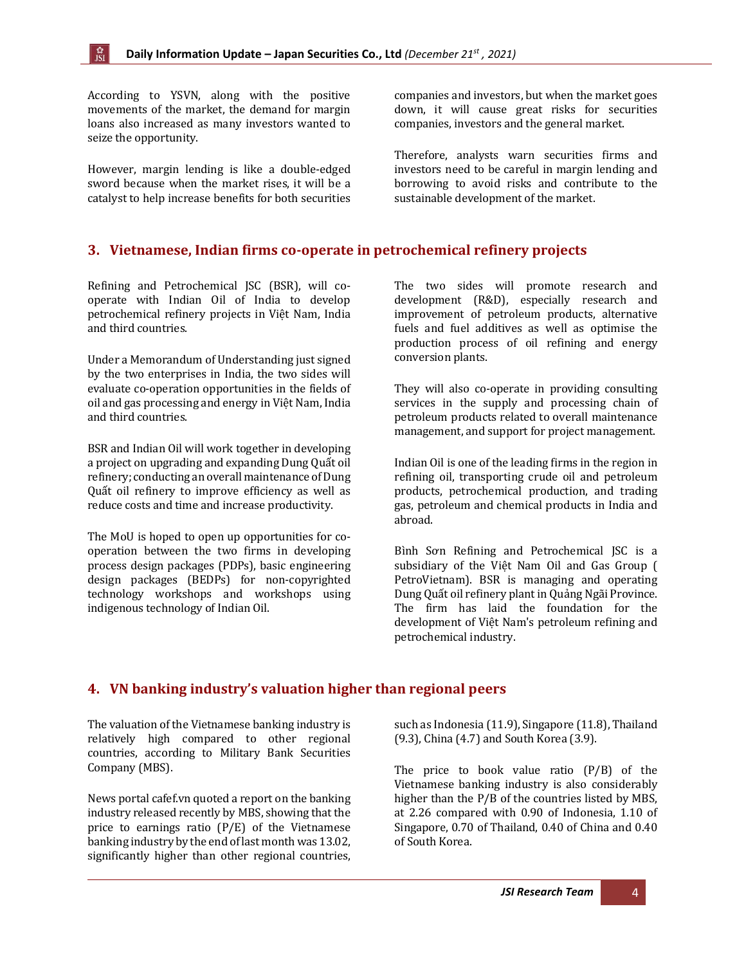According to YSVN, along with the positive movements of the market, the demand for margin loans also increased as many investors wanted to seize the opportunity.

However, margin lending is like a double-edged sword because when the market rises, it will be a catalyst to help increase benefits for both securities companies and investors, but when the market goes down, it will cause great risks for securities companies, investors and the general market.

Therefore, analysts warn securities firms and investors need to be careful in margin lending and borrowing to avoid risks and contribute to the sustainable development of the market.

#### <span id="page-3-0"></span>**3. Vietnamese, Indian firms co-operate in petrochemical refinery projects**

Refining and Petrochemical JSC (BSR), will cooperate with Indian Oil of India to develop petrochemical refinery projects in Việt Nam, India and third countries.

Under a Memorandum of Understanding just signed by the two enterprises in India, the two sides will evaluate co-operation opportunities in the fields of oil and gas processing and energy in Việt Nam, India and third countries.

BSR and Indian Oil will work together in developing a project on upgrading and expanding Dung Quất oil refinery; conducting an overall maintenance of Dung Quất oil refinery to improve efficiency as well as reduce costs and time and increase productivity.

The MoU is hoped to open up opportunities for cooperation between the two firms in developing process design packages (PDPs), basic engineering design packages (BEDPs) for non-copyrighted technology workshops and workshops using indigenous technology of Indian Oil.

The two sides will promote research and development (R&D), especially research and improvement of petroleum products, alternative fuels and fuel additives as well as optimise the production process of oil refining and energy conversion plants.

They will also co-operate in providing consulting services in the supply and processing chain of petroleum products related to overall maintenance management, and support for project management.

Indian Oil is one of the leading firms in the region in refining oil, transporting crude oil and petroleum products, petrochemical production, and trading gas, petroleum and chemical products in India and abroad.

Bình Sơn Refining and Petrochemical JSC is a subsidiary of the Việt Nam Oil and Gas Group ( PetroVietnam). BSR is managing and operating Dung Quất oil refinery plant in Quảng Ngãi Province. The firm has laid the foundation for the development of Việt Nam's petroleum refining and petrochemical industry.

## <span id="page-3-1"></span>**4. VN banking industry's valuation higher than regional peers**

The valuation of the Vietnamese banking industry is relatively high compared to other regional countries, according to Military Bank Securities Company (MBS).

News portal cafef.vn quoted a report on the banking industry released recently by MBS, showing that the price to earnings ratio (P/E) of the Vietnamese banking industry by the end of last month was 13.02, significantly higher than other regional countries,

such as Indonesia (11.9), Singapore (11.8), Thailand (9.3), China (4.7) and South Korea (3.9).

The price to book value ratio  $(P/B)$  of the Vietnamese banking industry is also considerably higher than the P/B of the countries listed by MBS, at 2.26 compared with 0.90 of Indonesia, 1.10 of Singapore, 0.70 of Thailand, 0.40 of China and 0.40 of South Korea.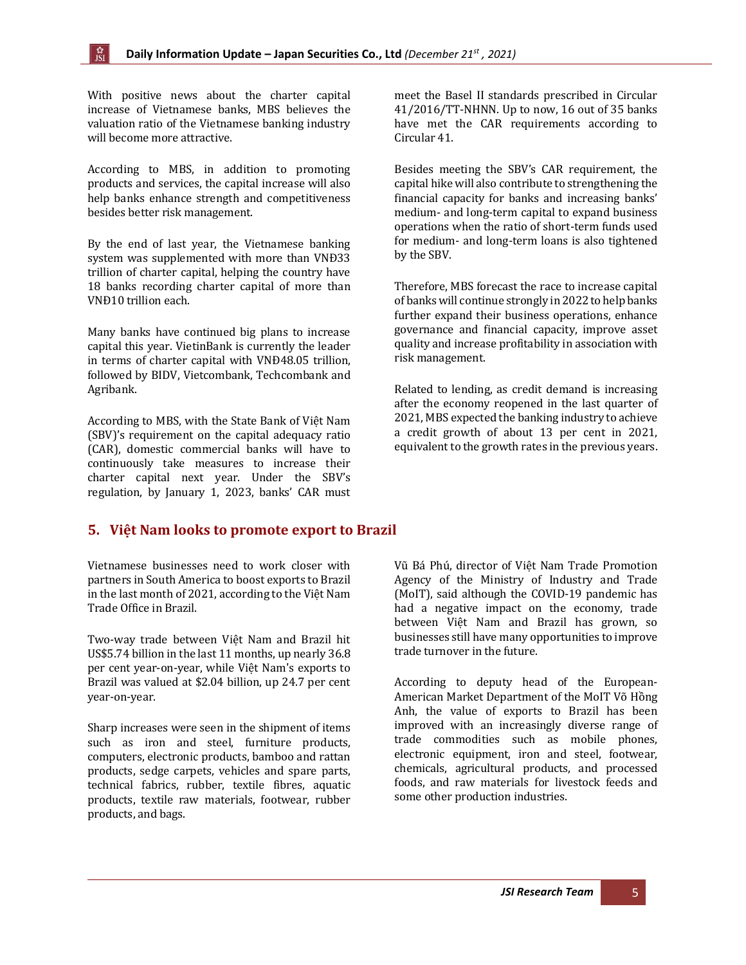With positive news about the charter capital increase of Vietnamese banks, MBS believes the valuation ratio of the Vietnamese banking industry will become more attractive.

According to MBS, in addition to promoting products and services, the capital increase will also help banks enhance strength and competitiveness besides better risk management.

By the end of last year, the Vietnamese banking system was supplemented with more than VNĐ33 trillion of charter capital, helping the country have 18 banks recording charter capital of more than VNĐ10 trillion each.

Many banks have continued big plans to increase capital this year. VietinBank is currently the leader in terms of charter capital with VNĐ48.05 trillion, followed by BIDV, Vietcombank, Techcombank and Agribank.

According to MBS, with the State Bank of Việt Nam (SBV)'s requirement on the capital adequacy ratio (CAR), domestic commercial banks will have to continuously take measures to increase their charter capital next year. Under the SBV's regulation, by January 1, 2023, banks' CAR must

meet the Basel II standards prescribed in Circular 41/2016/TT-NHNN. Up to now, 16 out of 35 banks have met the CAR requirements according to Circular 41.

Besides meeting the SBV's CAR requirement, the capital hike will also contribute to strengthening the financial capacity for banks and increasing banks' medium- and long-term capital to expand business operations when the ratio of short-term funds used for medium- and long-term loans is also tightened by the SBV.

Therefore, MBS forecast the race to increase capital of banks will continue strongly in 2022 to help banks further expand their business operations, enhance governance and financial capacity, improve asset quality and increase profitability in association with risk management.

Related to lending, as credit demand is increasing after the economy reopened in the last quarter of 2021, MBS expected the banking industry to achieve a credit growth of about 13 per cent in 2021, equivalent to the growth rates in the previous years.

#### <span id="page-4-0"></span>**5. Việt Nam looks to promote export to Brazil**

Vietnamese businesses need to work closer with partners in South America to boost exports to Brazil in the last month of 2021, according to the Việt Nam Trade Office in Brazil.

Two-way trade between Việt Nam and Brazil hit US\$5.74 billion in the last 11 months, up nearly 36.8 per cent year-on-year, while Việt Nam's exports to Brazil was valued at \$2.04 billion, up 24.7 per cent year-on-year.

Sharp increases were seen in the shipment of items such as iron and steel, furniture products, computers, electronic products, bamboo and rattan products, sedge carpets, vehicles and spare parts, technical fabrics, rubber, textile fibres, aquatic products, textile raw materials, footwear, rubber products, and bags.

Vũ Bá Phú, director of Việt Nam Trade Promotion Agency of the Ministry of Industry and Trade (MoIT), said although the COVID-19 pandemic has had a negative impact on the economy, trade between Việt Nam and Brazil has grown, so businesses still have many opportunities to improve trade turnover in the future.

According to deputy head of the European-American Market Department of the MoIT Võ Hồng Anh, the value of exports to Brazil has been improved with an increasingly diverse range of trade commodities such as mobile phones, electronic equipment, iron and steel, footwear, chemicals, agricultural products, and processed foods, and raw materials for livestock feeds and some other production industries.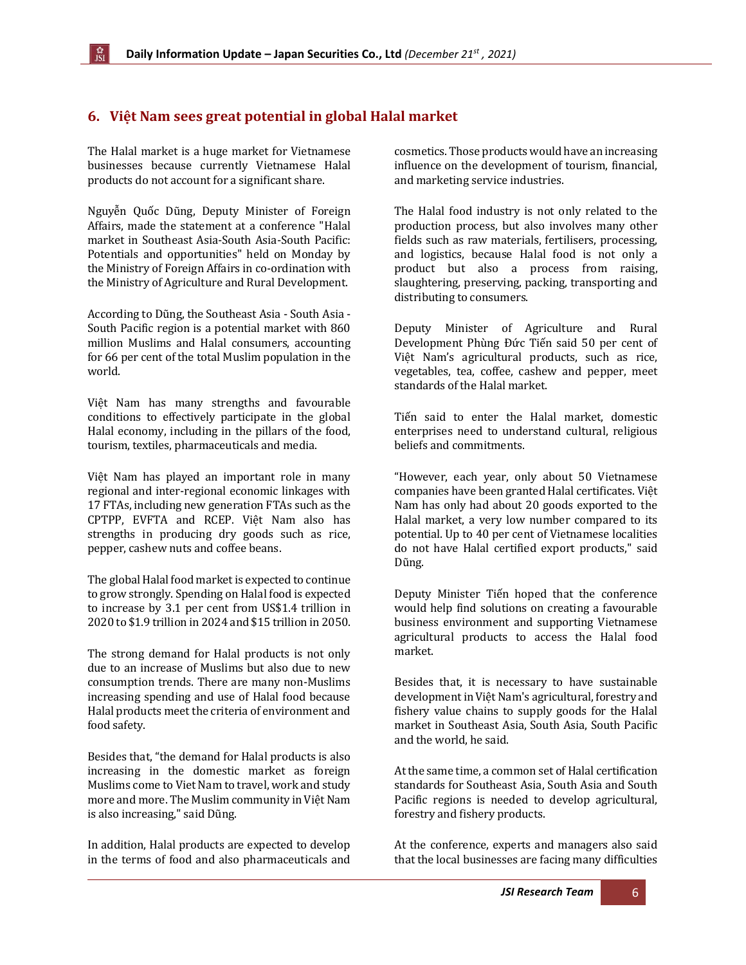# <span id="page-5-0"></span>**6. Việt Nam sees great potential in global Halal market**

The Halal market is a huge market for Vietnamese businesses because currently Vietnamese Halal products do not account for a significant share.

Nguyễn Quốc Dũng, Deputy Minister of Foreign Affairs, made the statement at a conference "Halal market in Southeast Asia-South Asia-South Pacific: Potentials and opportunities" held on Monday by the Ministry of Foreign Affairs in co-ordination with the Ministry of Agriculture and Rural Development.

According to Dũng, the Southeast Asia - South Asia - South Pacific region is a potential market with 860 million Muslims and Halal consumers, accounting for 66 per cent of the total Muslim population in the world.

Việt Nam has many strengths and favourable conditions to effectively participate in the global Halal economy, including in the pillars of the food, tourism, textiles, pharmaceuticals and media.

Việt Nam has played an important role in many regional and inter-regional economic linkages with 17 FTAs, including new generation FTAs such as the CPTPP, EVFTA and RCEP. Việt Nam also has strengths in producing dry goods such as rice, pepper, cashew nuts and coffee beans.

The global Halal food market is expected to continue to grow strongly. Spending on Halal food is expected to increase by 3.1 per cent from US\$1.4 trillion in 2020 to \$1.9 trillion in 2024 and \$15 trillion in 2050.

The strong demand for Halal products is not only due to an increase of Muslims but also due to new consumption trends. There are many non-Muslims increasing spending and use of Halal food because Halal products meet the criteria of environment and food safety.

Besides that, "the demand for Halal products is also increasing in the domestic market as foreign Muslims come to Viet Nam to travel, work and study more and more. The Muslim community in Việt Nam is also increasing," said Dũng.

In addition, Halal products are expected to develop in the terms of food and also pharmaceuticals and cosmetics. Those products would have an increasing influence on the development of tourism, financial, and marketing service industries.

The Halal food industry is not only related to the production process, but also involves many other fields such as raw materials, fertilisers, processing, and logistics, because Halal food is not only a product but also a process from raising, slaughtering, preserving, packing, transporting and distributing to consumers.

Deputy Minister of Agriculture and Rural Development Phùng Đức Tiến said 50 per cent of Việt Nam's agricultural products, such as rice, vegetables, tea, coffee, cashew and pepper, meet standards of the Halal market.

Tiến said to enter the Halal market, domestic enterprises need to understand cultural, religious beliefs and commitments.

"However, each year, only about 50 Vietnamese companies have been granted Halal certificates. Việt Nam has only had about 20 goods exported to the Halal market, a very low number compared to its potential. Up to 40 per cent of Vietnamese localities do not have Halal certified export products," said Dũng.

Deputy Minister Tiến hoped that the conference would help find solutions on creating a favourable business environment and supporting Vietnamese agricultural products to access the Halal food market.

Besides that, it is necessary to have sustainable development in Việt Nam's agricultural, forestry and fishery value chains to supply goods for the Halal market in Southeast Asia, South Asia, South Pacific and the world, he said.

At the same time, a common set of Halal certification standards for Southeast Asia, South Asia and South Pacific regions is needed to develop agricultural, forestry and fishery products.

At the conference, experts and managers also said that the local businesses are facing many difficulties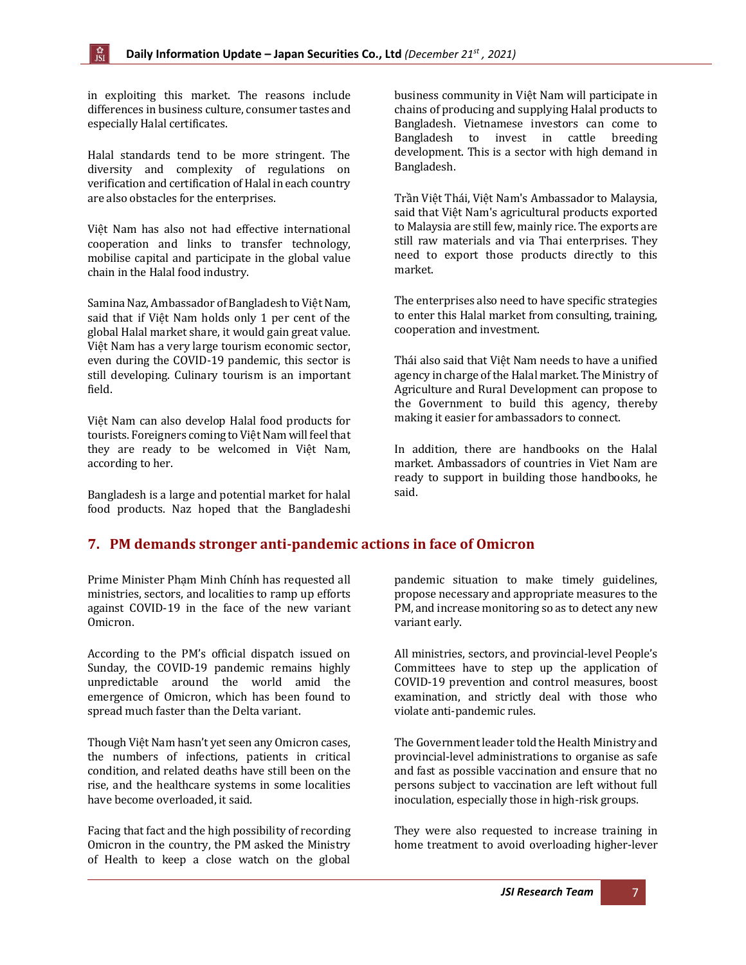in exploiting this market. The reasons include differences in business culture, consumer tastes and especially Halal certificates.

Halal standards tend to be more stringent. The diversity and complexity of regulations on verification and certification of Halal in each country are also obstacles for the enterprises.

Việt Nam has also not had effective international cooperation and links to transfer technology, mobilise capital and participate in the global value chain in the Halal food industry.

Samina Naz, Ambassador of Bangladesh to Việt Nam, said that if Việt Nam holds only 1 per cent of the global Halal market share, it would gain great value. Việt Nam has a very large tourism economic sector, even during the COVID-19 pandemic, this sector is still developing. Culinary tourism is an important field.

Việt Nam can also develop Halal food products for tourists. Foreigners coming to Việt Nam will feel that they are ready to be welcomed in Việt Nam, according to her.

Bangladesh is a large and potential market for halal food products. Naz hoped that the Bangladeshi

business community in Việt Nam will participate in chains of producing and supplying Halal products to Bangladesh. Vietnamese investors can come to Bangladesh to invest in cattle breeding development. This is a sector with high demand in Bangladesh.

Trần Việt Thái, Việt Nam's Ambassador to Malaysia, said that Việt Nam's agricultural products exported to Malaysia are still few, mainly rice. The exports are still raw materials and via Thai enterprises. They need to export those products directly to this market.

The enterprises also need to have specific strategies to enter this Halal market from consulting, training, cooperation and investment.

Thái also said that Việt Nam needs to have a unified agency in charge of the Halal market. The Ministry of Agriculture and Rural Development can propose to the Government to build this agency, thereby making it easier for ambassadors to connect.

In addition, there are handbooks on the Halal market. Ambassadors of countries in Viet Nam are ready to support in building those handbooks, he said.

## <span id="page-6-0"></span>**7. PM demands stronger anti-pandemic actions in face of Omicron**

Prime Minister Phạm Minh Chính has requested all ministries, sectors, and localities to ramp up efforts against COVID-19 in the face of the new variant Omicron.

According to the PM's official dispatch issued on Sunday, the COVID-19 pandemic remains highly unpredictable around the world amid the emergence of Omicron, which has been found to spread much faster than the Delta variant.

Though Việt Nam hasn't yet seen any Omicron cases, the numbers of infections, patients in critical condition, and related deaths have still been on the rise, and the healthcare systems in some localities have become overloaded, it said.

Facing that fact and the high possibility of recording Omicron in the country, the PM asked the Ministry of Health to keep a close watch on the global pandemic situation to make timely guidelines, propose necessary and appropriate measures to the PM, and increase monitoring so as to detect any new variant early.

All ministries, sectors, and provincial-level People's Committees have to step up the application of COVID-19 prevention and control measures, boost examination, and strictly deal with those who violate anti-pandemic rules.

The Government leader told the Health Ministry and provincial-level administrations to organise as safe and fast as possible vaccination and ensure that no persons subject to vaccination are left without full inoculation, especially those in high-risk groups.

They were also requested to increase training in home treatment to avoid overloading higher-lever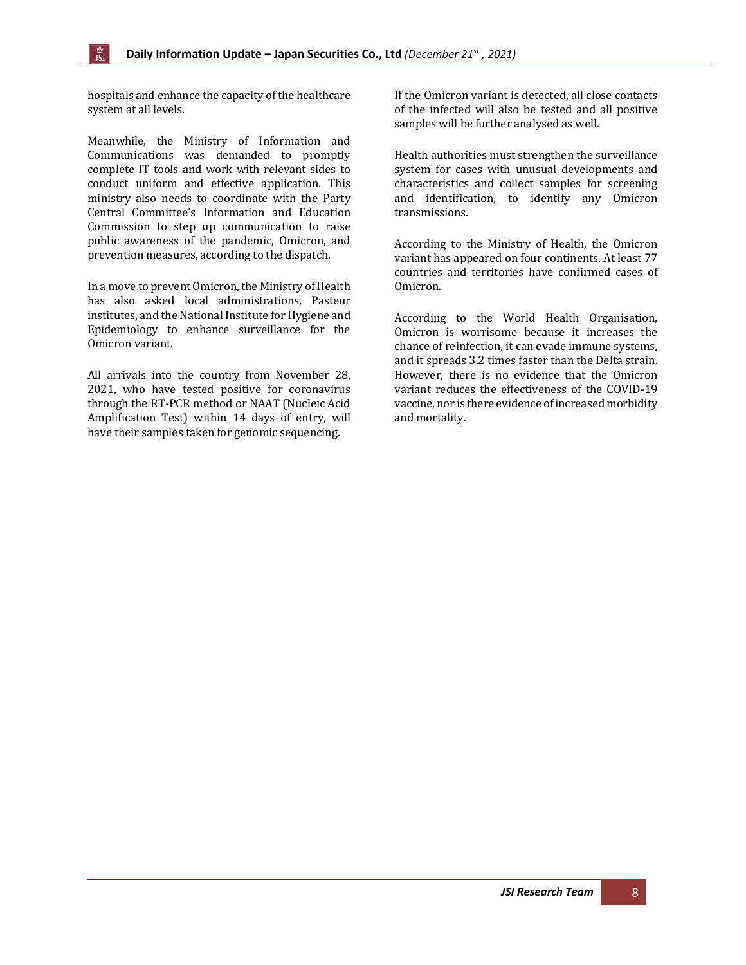hospitals and enhance the capacity of the healthcare system at all levels.

Meanwhile, the Ministry of Information and Communications was demanded to promptly complete IT tools and work with relevant sides to conduct uniform and effective application. This ministry also needs to coordinate with the Party Central Committee's Information and Education Commission to step up communication to raise public awareness of the pandemic, Omicron, and prevention measures, according to the dispatch.

In a move to prevent Omicron, the Ministry of Health has also asked local administrations, Pasteur institutes, and the National Institute for Hygiene and Epidemiology to enhance surveillance for the Omicron variant.

All arrivals into the country from November 28, 2021, who have tested positive for coronavirus through the RT-PCR method or NAAT (Nucleic Acid Amplification Test) within 14 days of entry, will have their samples taken for genomic sequencing.

If the Omicron variant is detected, all close contacts of the infected will also be tested and all positive samples will be further analysed as well.

Health authorities must strengthen the surveillance system for cases with unusual developments and characteristics and collect samples for screening and identification, to identify any Omicron transmissions.

According to the Ministry of Health, the Omicron variant has appeared on four continents. At least 77 countries and territories have confirmed cases of Omicron.

According to the World Health Organisation, Omicron is worrisome because it increases the chance of reinfection, it can evade immune systems, and it spreads 3.2 times faster than the Delta strain. However, there is no evidence that the Omicron variant reduces the effectiveness of the COVID-19 vaccine, nor is there evidence of increased morbidity and mortality.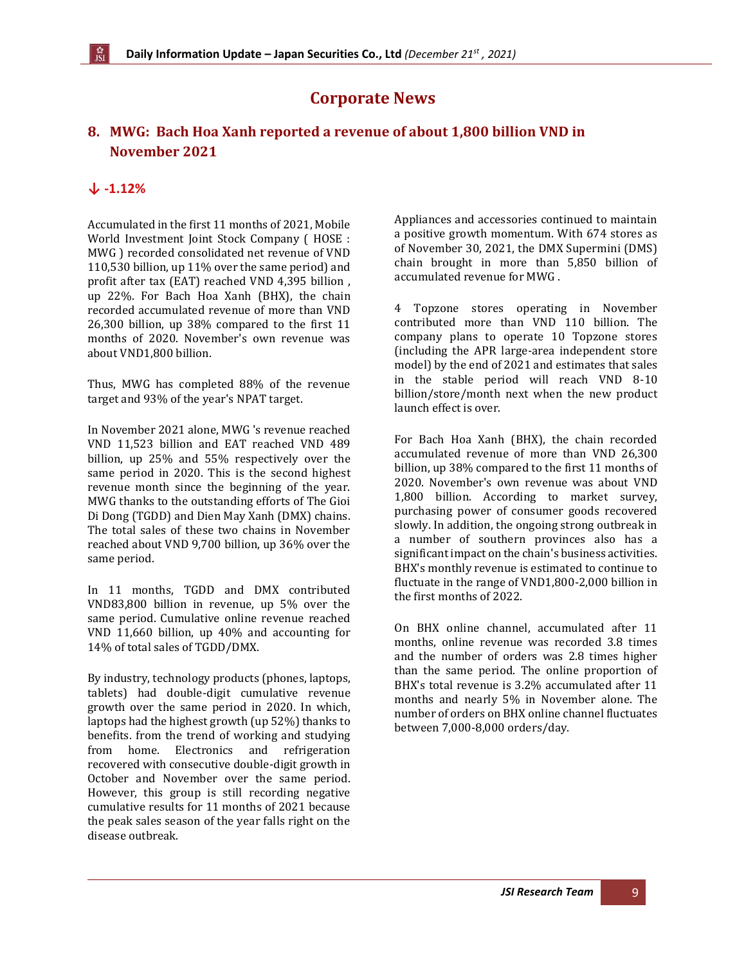# **Corporate News**

# <span id="page-8-0"></span>**8. MWG: Bach Hoa Xanh reported a revenue of about 1,800 billion VND in November 2021**

### **↓ -1.12%**

Accumulated in the first 11 months of 2021, Mobile World Investment Joint Stock Company ( HOSE : MWG ) recorded consolidated net revenue of VND 110,530 billion, up 11% over the same period) and profit after tax (EAT) reached VND 4,395 billion , up 22%. For Bach Hoa Xanh (BHX), the chain recorded accumulated revenue of more than VND 26,300 billion, up 38% compared to the first 11 months of 2020. November's own revenue was about VND1,800 billion.

Thus, MWG has completed 88% of the revenue target and 93% of the year's NPAT target.

In November 2021 alone, MWG 's revenue reached VND 11,523 billion and EAT reached VND 489 billion, up 25% and 55% respectively over the same period in 2020. This is the second highest revenue month since the beginning of the year. MWG thanks to the outstanding efforts of The Gioi Di Dong (TGDD) and Dien May Xanh (DMX) chains. The total sales of these two chains in November reached about VND 9,700 billion, up 36% over the same period.

In 11 months, TGDD and DMX contributed VND83,800 billion in revenue, up 5% over the same period. Cumulative online revenue reached VND 11,660 billion, up 40% and accounting for 14% of total sales of TGDD/DMX.

By industry, technology products (phones, laptops, tablets) had double-digit cumulative revenue growth over the same period in 2020. In which, laptops had the highest growth (up 52%) thanks to benefits. from the trend of working and studying from home. Electronics and refrigeration recovered with consecutive double-digit growth in October and November over the same period. However, this group is still recording negative cumulative results for 11 months of 2021 because the peak sales season of the year falls right on the disease outbreak.

Appliances and accessories continued to maintain a positive growth momentum. With 674 stores as of November 30, 2021, the DMX Supermini (DMS) chain brought in more than 5,850 billion of accumulated revenue for MWG .

4 Topzone stores operating in November contributed more than VND 110 billion. The company plans to operate 10 Topzone stores (including the APR large-area independent store model) by the end of 2021 and estimates that sales in the stable period will reach VND 8-10 billion/store/month next when the new product launch effect is over.

For Bach Hoa Xanh (BHX), the chain recorded accumulated revenue of more than VND 26,300 billion, up 38% compared to the first 11 months of 2020. November's own revenue was about VND 1,800 billion. According to market survey, purchasing power of consumer goods recovered slowly. In addition, the ongoing strong outbreak in a number of southern provinces also has a significant impact on the chain's business activities. BHX's monthly revenue is estimated to continue to fluctuate in the range of VND1,800-2,000 billion in the first months of 2022.

On BHX online channel, accumulated after 11 months, online revenue was recorded 3.8 times and the number of orders was 2.8 times higher than the same period. The online proportion of BHX's total revenue is 3.2% accumulated after 11 months and nearly 5% in November alone. The number of orders on BHX online channel fluctuates between 7,000-8,000 orders/day.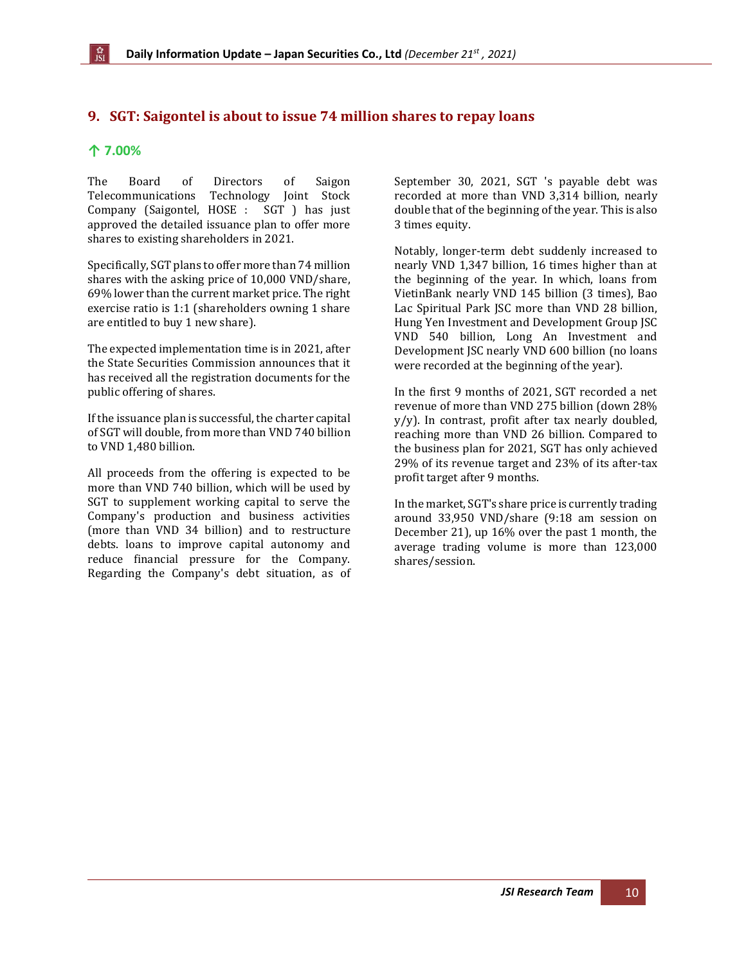# <span id="page-9-0"></span>**9. SGT: Saigontel is about to issue 74 million shares to repay loans**

#### **↑ 7.00%**

The Board of Directors of Saigon Telecommunications Technology Joint Stock Company (Saigontel, HOSE : SGT ) has just approved the detailed issuance plan to offer more shares to existing shareholders in 2021.

Specifically, SGT plans to offer more than 74 million shares with the asking price of 10,000 VND/share, 69% lower than the current market price. The right exercise ratio is 1:1 (shareholders owning 1 share are entitled to buy 1 new share).

The expected implementation time is in 2021, after the State Securities Commission announces that it has received all the registration documents for the public offering of shares.

If the issuance plan is successful, the charter capital of SGT will double, from more than VND 740 billion to VND 1,480 billion.

All proceeds from the offering is expected to be more than VND 740 billion, which will be used by SGT to supplement working capital to serve the Company's production and business activities (more than VND 34 billion) and to restructure debts. loans to improve capital autonomy and reduce financial pressure for the Company. Regarding the Company's debt situation, as of September 30, 2021, SGT 's payable debt was recorded at more than VND 3,314 billion, nearly double that of the beginning of the year. This is also 3 times equity.

Notably, longer-term debt suddenly increased to nearly VND 1,347 billion, 16 times higher than at the beginning of the year. In which, loans from VietinBank nearly VND 145 billion (3 times), Bao Lac Spiritual Park JSC more than VND 28 billion, Hung Yen Investment and Development Group JSC VND 540 billion, Long An Investment and Development JSC nearly VND 600 billion (no loans were recorded at the beginning of the year).

In the first 9 months of 2021, SGT recorded a net revenue of more than VND 275 billion (down 28% y/y). In contrast, profit after tax nearly doubled, reaching more than VND 26 billion. Compared to the business plan for 2021, SGT has only achieved 29% of its revenue target and 23% of its after-tax profit target after 9 months.

In the market, SGT's share price is currently trading around 33,950 VND/share (9:18 am session on December 21), up 16% over the past 1 month, the average trading volume is more than 123,000 shares/session.